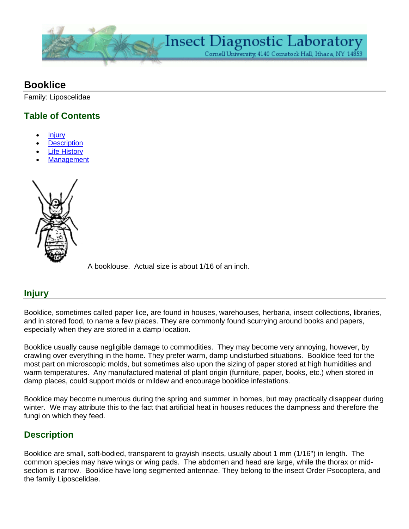

# **Booklice**

Family: Liposcelidae

## **Table of Contents**

- **Injury**
- **[Description](http://www.entomology.cornell.edu/public/IthacaCampus/ExtOutreach/DiagnosticLab/Factsheets/Booklice.html#pageBodySections_02#pageBodySections_02)**
- **Life History**
- **[Management](http://www.entomology.cornell.edu/public/IthacaCampus/ExtOutreach/DiagnosticLab/Factsheets/Booklice.html#pageBodySections_04#pageBodySections_04)**



[A](http://www.entomology.cornell.edu/public/IthacaCampus/ExtOutreach/DiagnosticLab/Factsheets/Booklice/pageBodySections/00/imageSet/0/image/BookLouse_lg.gif) booklouse. Actual size is about 1/16 of an inch.

### **Injury**

Booklice, sometimes called paper lice, are found in houses, warehouses, herbaria, insect collections, libraries, and in stored food, to name a few places. They are commonly found scurrying around books and papers, especially when they are stored in a damp location.

Booklice usually cause negligible damage to commodities. They may become very annoying, however, by crawling over everything in the home. They prefer warm, damp undisturbed situations. Booklice feed for the most part on microscopic molds, but sometimes also upon the sizing of paper stored at high humidities and warm temperatures. Any manufactured material of plant origin (furniture, paper, books, etc.) when stored in damp places, could support molds or mildew and encourage booklice infestations.

Booklice may become numerous during the spring and summer in homes, but may practically disappear during winter. We may attribute this to the fact that artificial heat in houses reduces the dampness and therefore the fungi on which they feed.

### **Description**

Booklice are small, soft-bodied, transparent to grayish insects, usually about 1 mm (1/16") in length. The common species may have wings or wing pads. The abdomen and head are large, while the thorax or midsection is narrow. Booklice have long segmented antennae. They belong to the insect Order Psocoptera, and the family Liposcelidae.